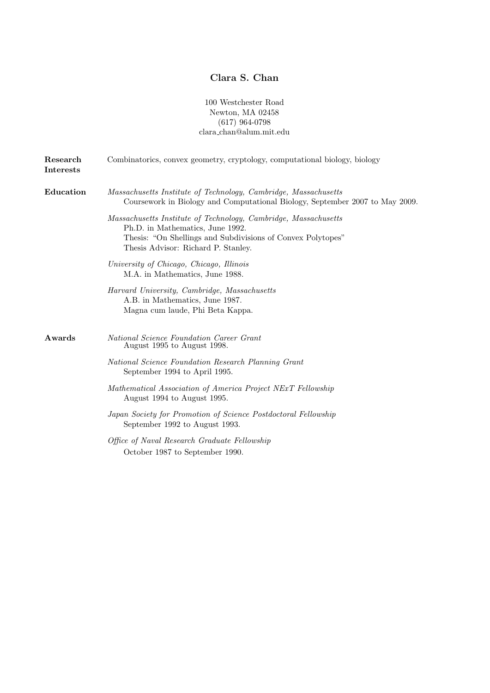## Clara S. Chan

100 Westchester Road Newton, MA 02458  $(617)$  964-0798 clara chan@alum.mit.edu

| Research<br><b>Interests</b> | Combinatorics, convex geometry, cryptology, computational biology, biology                                                                                                                                |
|------------------------------|-----------------------------------------------------------------------------------------------------------------------------------------------------------------------------------------------------------|
| Education                    | Massachusetts Institute of Technology, Cambridge, Massachusetts<br>Coursework in Biology and Computational Biology, September 2007 to May 2009.                                                           |
|                              | Massachusetts Institute of Technology, Cambridge, Massachusetts<br>Ph.D. in Mathematics, June 1992.<br>Thesis: "On Shellings and Subdivisions of Convex Polytopes"<br>Thesis Advisor: Richard P. Stanley. |
|                              | University of Chicago, Chicago, Illinois<br>M.A. in Mathematics, June 1988.                                                                                                                               |
|                              | Harvard University, Cambridge, Massachusetts<br>A.B. in Mathematics, June 1987.<br>Magna cum laude, Phi Beta Kappa.                                                                                       |
| Awards                       | National Science Foundation Career Grant<br>August 1995 to August 1998.                                                                                                                                   |
|                              | National Science Foundation Research Planning Grant<br>September 1994 to April 1995.                                                                                                                      |
|                              | Mathematical Association of America Project NExT Fellowship<br>August 1994 to August 1995.                                                                                                                |
|                              | Japan Society for Promotion of Science Postdoctoral Fellowship<br>September 1992 to August 1993.                                                                                                          |
|                              | Office of Naval Research Graduate Fellowship<br>October 1987 to September 1990.                                                                                                                           |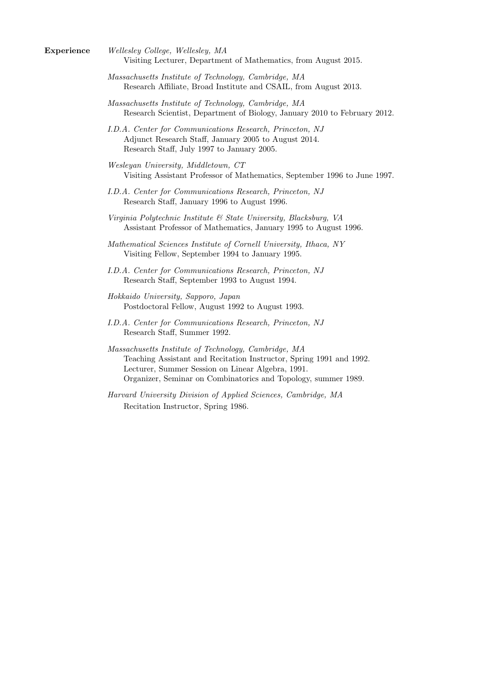- Experience Wellesley College, Wellesley, MA Visiting Lecturer, Department of Mathematics, from August 2015.
	- Massachusetts Institute of Technology, Cambridge, MA Research Affiliate, Broad Institute and CSAIL, from August 2013.
	- Massachusetts Institute of Technology, Cambridge, MA Research Scientist, Department of Biology, January 2010 to February 2012.
	- I.D.A. Center for Communications Research, Princeton, NJ Adjunct Research Staff, January 2005 to August 2014. Research Staff, July 1997 to January 2005.
	- Wesleyan University, Middletown, CT Visiting Assistant Professor of Mathematics, September 1996 to June 1997.
	- I.D.A. Center for Communications Research, Princeton, NJ Research Staff, January 1996 to August 1996.
	- Virginia Polytechnic Institute & State University, Blacksburg, VA Assistant Professor of Mathematics, January 1995 to August 1996.
	- Mathematical Sciences Institute of Cornell University, Ithaca, NY Visiting Fellow, September 1994 to January 1995.
	- I.D.A. Center for Communications Research, Princeton, NJ Research Staff, September 1993 to August 1994.
	- Hokkaido University, Sapporo, Japan Postdoctoral Fellow, August 1992 to August 1993.
	- I.D.A. Center for Communications Research, Princeton, NJ Research Staff, Summer 1992.
	- Massachusetts Institute of Technology, Cambridge, MA Teaching Assistant and Recitation Instructor, Spring 1991 and 1992. Lecturer, Summer Session on Linear Algebra, 1991. Organizer, Seminar on Combinatorics and Topology, summer 1989.
	- Harvard University Division of Applied Sciences, Cambridge, MA Recitation Instructor, Spring 1986.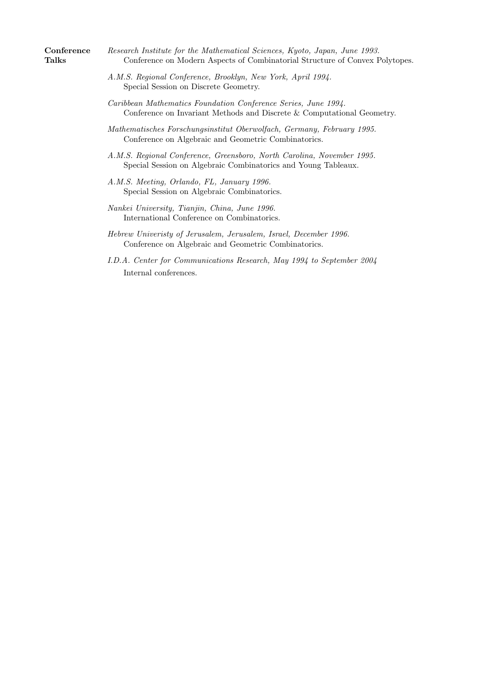| Conference | Research Institute for the Mathematical Sciences, Kyoto, Japan, June 1993.   |
|------------|------------------------------------------------------------------------------|
| Talks      | Conference on Modern Aspects of Combinatorial Structure of Convex Polytopes. |

- A.M.S. Regional Conference, Brooklyn, New York, April 1994. Special Session on Discrete Geometry.
- Caribbean Mathematics Foundation Conference Series, June 1994. Conference on Invariant Methods and Discrete & Computational Geometry.
- Mathematisches Forschungsinstitut Oberwolfach, Germany, February 1995. Conference on Algebraic and Geometric Combinatorics.
- A.M.S. Regional Conference, Greensboro, North Carolina, November 1995. Special Session on Algebraic Combinatorics and Young Tableaux.
- A.M.S. Meeting, Orlando, FL, January 1996. Special Session on Algebraic Combinatorics.
- Nankei University, Tianjin, China, June 1996. International Conference on Combinatorics.
- Hebrew Univeristy of Jerusalem, Jerusalem, Israel, December 1996. Conference on Algebraic and Geometric Combinatorics.
- I.D.A. Center for Communications Research, May 1994 to September 2004 Internal conferences.